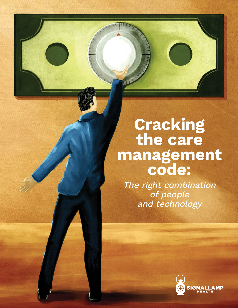# **the Cracking definitive the care<br>
<b>de:**<br> **de:**<br> **de: the care**

**Coracteristics** 

 $The right combinatorial function is defined as follows.$ people and technology<br>and technology The right combination of people and technology

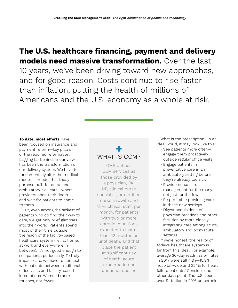### **The U.S. healthcare financing, payment and delivery models need massive transformation.** Over the last 10 years, we've been driving toward new approaches, and for good reason. Costs continue to rise faster than inflation, putting the health of millions of Americans and the U.S. economy as a whole at risk.

#### **To date, most efforts** have

been focused on insurance and payment reform—key pillars of the required reformation. Lagging far behind, in our view, has been the transformation of our delivery system. We have to fundamentally alter the medical model—a model that today is purpose built for acute and ambulatory sick care—where providers open their doors and wait for patients to come to them.

But, even among the sickest of patients who do find their way to care, we get only brief glimpses into their world. Patients spend most of their time outside the reach of the facility-based healthcare system (i.e., at home, at work and everywhere in between). It's not good enough to see patients periodically. To truly impact care, we have to connect with patients between traditional office visits and facility-based interactions. We need more touches, not fewer.

### $\ddagger$ WHAT IS CCM?

CMS defines CCM services as those provided by a physician, PA, NP, clinical nurse specialist, or certified nurse midwife and their clinical staff, per month, for patients with two or more chronic conditions expected to last at least 12 months or until death, and that place the patient at significant risk of death, acute exacerbation or functional decline.

What is the prescription? In an ideal world, it may look like this:

- See patients more often engage them proactively outside regular office visits
- Engage patients in preventative care in an ambulatory setting before they're already too sick
- Provide nurse care management for the many, not just for the few
- Be profitable providing care in these new settings
- Digest acquisitions of physician practices and other facilities by more closely integrating care among acute, ambulatory and post-acute settings

If we're honest, the reality of today's healthcare system is far from this ideal. For example, average 30-day readmission rates in 2017 were still high—15.3% hospital-wide and 22.1% for heart failure patients.1 Consider one other data point: The U.S. spent over \$1 trillion in 2016 on chronic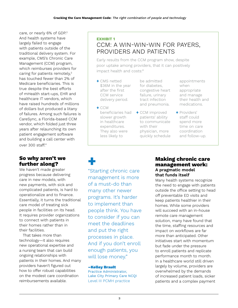care, or nearly 6% of GDP.<sup>2</sup> And health systems have largely failed to engage with patients outside of the traditional delivery system. For example, CMS's Chronic Care Management (CCM) program, which reimburses providers for caring for patients remotely,<sup>3</sup> has touched fewer than 2% of Medicare beneficiaries. This is true despite the best efforts of mHealth start-ups, EHR and healthcare IT vendors, which have raised hundreds of millions of dollars but produced a litany of failures. Among such failures is CareSync, a Florida-based CCM vendor, which folded just three years after relaunching its own patient engagement software and building a call center with over 300 staff.4

### **So why aren't we further along?**

We haven't made greater progress because delivering care in new models, with new payments, with sick and complicated patients, is hard to operationalize and to finance. Essentially, it turns the traditional care model of treating sick people in facilities on its head. It requires provider organizations to connect with patients in their homes rather than in their facilities.

That takes more than technology—it also requires new operational expertise and a nursing team that can build ongoing relationships with patients in their homes. And many providers haven't figured out how to offer robust capabilities on the modest care coordination reimbursements available.

### **EXHIBIT 1** CCM: A WIN-WIN-WIN FOR PAYERS, PROVIDERS AND PATIENTS

Early results from the CCM program show, despite poor uptake among providers, that it can positively impact health and costs:<sup>6</sup>

- + CMS netted \$36M in the year after the first CCM service delivery period.
- + CCM beneficiaries had slower growth in healthcare expenditures. They also were less likely to
- be admitted for diabetes, congestive heart failure, urinary tract infection and pneumonia.
- + CCM improved patients' ability to communicate with their physician, more quickly schedule

appointments when appropriate and manage their health and medications.

+ Providers' staff could spend more time on care coordination and follow-up.

+ "Starting chronic care management is more of a must-do than many other newer programs. It's harder to implement than people think. You have to consider if you can meet the deadlines and put the right processes in place. And if you don't enroll enough patients, you will lose money."

### –Kelley Brault

Practice Administrator, Lake City Primary Care NCQI Level III PCMH practice

### **Making chronic care management work: A pragmatic model that funds itself**

Many health systems recognize the need to engage with patients outside the office setting to head off preventable ED visits and keep patients healthier in their homes. While some providers will succeed with an in-house remote care management solution, many have found that the time, staffing resources and impact on workflows are far more than anticipated. Other initiatives start with momentum but fade under the pressure to enroll patients and replicate performance month to month. In a healthcare world still driven largely by volume, providers are overwhelmed by the demands of increased patient loads, sicker patients and a complex payment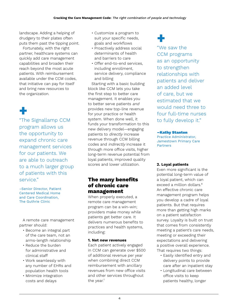landscape. Adding a helping of drudgery to their plates often puts them past the tipping point.

Fortunately, with the right partner, healthcare systems can quickly add care management capabilities and broaden their reach beyond the most acute patients. With reimbursement available under the CCM codes, that initiative can pay for itself and bring new resources to the organization.

# +

"The Signallamp CCM program allows us the opportunity to expand chronic care management services for our patients. We are able to outreach to a much larger group of patients with this service."

–Senior Director, Patient Centered Medical Home and Care Coordination, The Guthrie Clinic

A remote care management partner should:

- Become an integral part of the care team, not an arms-length relationship
- Reduce the burden for administrative and clinical staff
- Work seamlessly with any number of EHRs and population health tools
- Minimize integration costs and delays
- Customize a program to suit your specific needs, goals and workflows
- Proactively address social determinants of health and barriers to care
- Offer end-to-end services, including enrollment, service delivery, compliance and billing

Starting with a basic building block like CCM lets you take the first step to better care management. It enables you to better serve patients and provides new top-line revenue for your practice or health system. When done well, it funds your transformation to this new delivery model—engaging patients to directly increase revenue through CCM billing codes and indirectly increase it through more office visits, higher long-term revenue potential from loyal patients, improved quality scores and lower utilization.

### **The many benefits of chronic care management**

When properly executed, a remote care management program can be a win-win; providers make money while patients get better care. It delivers numerous benefits to practices and health systems, including:

### **1. Net new revenues**

Each patient actively engaged in CCM can generate over \$500 of additional revenue per year when combining direct CCM reimbursement with ancillary revenues from new office visits and other services throughout the year.<sup>7</sup>

# +

"We saw the CCM programs as an opportunity to strengthen relationships with patients and deliver an added level of care, but we estimated that we would need three to four full-time nurses to fully develop it."

### –Kathy Stanton

Practice Administrator, Jamestown Primary Care Partners

### **2. Loyal patients**

Even more significant is the potential long-term value of a loyal patient, which can exceed a million dollars.<sup>8</sup> An effective chronic care management program helps you develop a cadre of loyal patients. But that requires more than getting high marks on a patient satisfaction survey. Loyalty is built on trust that comes from consistently meeting a patient's care needs, meeting or exceeding their expectations and delivering a positive overall experience. That requires two things:

- Easily identified entry and delivery points to provide care after an inpatient stay
- Longitudinal care between office visits to keep patients healthy, longer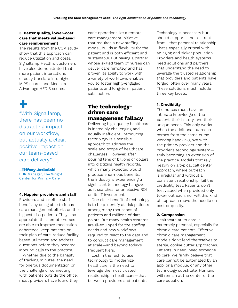### **3. Better quality, lower-cost care that meets value-based care reimbursement**

The results from the CCM study show that this approach can reduce utilization and costs. Signallamp Health's customers have also demonstrated that more patient interactions directly translate into higher MIPS scores and Medicare Advantage HEDIS scores.

# +

"With Signallamp, there has been no distracting impact on our workflow, but actually a clear, positive impact on our team-based care delivery."

#### –Tiffany Jaskulski

EHR Manager, The Wright Center for Primary Care

### **4. Happier providers and staff**

Providers and in-office staff benefit by being able to focus care management efforts on their highest-risk patients. They also appreciate that remote nurses are able to improve medication adherence, keep patients on their plan of care, reduce facilitybased utilization and address questions before they become inbound calls to the practice.

Whether due to the banality of tracking minutes, the need for onerous documentation or the challenge of connecting with patients outside the office, most providers have found they

can't operationalize a remote care management initiative that requires a new staffing model, builds in flexibility for the patient and is both efficient and sustainable. But having a partner whose skilled team of nurses can deliver care remotely and has proven its ability to work with a variety of workflows enables you to foster highly-engaged patients and long-term patient satisfaction.

### **The technologydriven care management fallacy**

Delivering high-quality healthcare is incredibly challenging and equally inefficient. Introducing technology is a sensible approach to address the scale and scope of healthcare challenges. However, after pouring tens of billions of dollars into digitizing health records, which many expected would produce enormous benefits, the industry is experiencing a significant technology hangover as it searches for an elusive ROI on its IT investments.

One clear benefit of technology is to help identify at-risk patients among many thousands of patients and millions of data points. But many health systems are ill-equipped for the staffing needs and new workflows required to react to the data and to conduct care management at scale—and beyond today's frequent fliers.

Lost in the rush to use technology to modernize healthcare is the need to leverage the most trusted relationship in healthcare—that between providers and patients. Technology is necessary but should support —not distract from—that personal relationship. That's especially critical with an aging and sicker population. Providers and health systems need solutions and partners that understand the need to leverage the trusted relationship that providers and patients have forged, often over many years. These solutions must include three key facets:

### **1. Credibility**

The nurses must have an intimate knowledge of the patient, their history, and their unique needs. This only works when the additional outreach comes from the same nurse working hand-in-glove with the primary provider and the provider's technology system truly becoming an extension of the practice. Models that rely heavily on a typical call center approach, where outreach is irregular and without a consistent relationship, fail the credibility test. Patients don't feel valued when provided only token outreach, nor will this kind of approach move the needle on cost or quality.

### **2. Compassion**

Healthcare at its core is extremely personal, especially for chronic care patients. Effective chronic care management models don't lend themselves to sterile, cookie cutter approaches. Patients in need, need someone to care. We firmly believe that care cannot be automated by an app, or a module, or any other technology substitute. Humans will remain at the center of the care equation.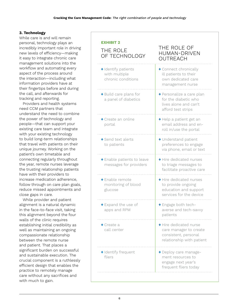### **3. Technology**

While care is and will remain personal, technology plays an incredibly important role in driving new levels of efficiency—making it easy to integrate chronic care management solutions into the workflow and automating every aspect of the process around the interaction—including what information providers have at their fingertips before and during the call, and afterwards for tracking and reporting.

Providers and health systems need CCM partners that understand the need to combine the power of technology and people—that can support your existing care team and integrate with your existing technology to build long-term relationships that travel with patients on their unique journey. Working on the patient's own timetable and connecting regularly throughout the year, remote nurses leverage the trusting relationship patients have with their providers to increase medication adherence, follow through on care plan goals, reduce missed appointments and close gaps in care.

While provider and patient alignment is a natural dynamic in the face-to-face visit, taking this alignment beyond the four walls of the clinic requires establishing initial credibility as well as maintaining an ongoing compassionate relationship between the remote nurse and patient. That places a significant burden on successful and sustainable execution. The crucial component is a ruthlessly efficient design that enables the practice to remotely manage care without any sacrifices and with much to gain.

| <b>EXHIBIT 2</b><br>THE ROLE<br>OF TECHNOLOGY              | THE ROLE OF<br><b>HUMAN-DRIVEN</b><br>OUTREACH                                                        |
|------------------------------------------------------------|-------------------------------------------------------------------------------------------------------|
| + Identify patients<br>with multiple<br>chronic conditions | + Connect chronically<br>ill patients to their<br>own dedicated care<br>management nurse              |
| + Build care plans for<br>a panel of diabetics             | + Personalize a care plan<br>for the diabetic who<br>lives alone and can't<br>afford test strips      |
| + Create an online<br>portal                               | + Help a patient get an<br>email address and en-<br>roll in/use the portal                            |
| + Send text alerts<br>to patients                          | + Understand patient<br>preferences to engage<br>via phone, email or text                             |
| + Enable patients to leave<br>messages for providers       | + Hire dedicated nurses<br>to triage messages to<br>facilitate proactive care                         |
| + Enable remote<br>monitoring of blood<br>glucose          | + Hire dedicated nurses<br>to provide ongoing<br>education and support<br>services for the device     |
| + Expand the use of<br>apps and RPM                        | + Engage both tech-<br>averse and tech-savvy<br>patients                                              |
| $\bullet$ Create a<br>call center                          | + Hire dedicated nurse<br>care manager to create<br>consistent, personal<br>relationship with patient |
| + Identify frequent<br>fliers                              | + Deploy care manage-<br>ment resources to<br>engage next year's<br>frequent fliers today             |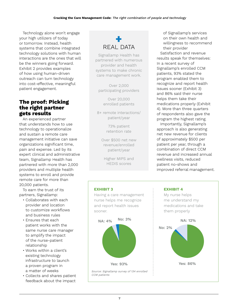Technology alone won't engage your high utilizers of today or tomorrow. Instead, health systems that combine integrated technology solutions with human interactions are the ones that will be the winners going forward. Exhibit 2 provides examples of how using human-driven outreach can turn technology into cost-effective, meaningful patient engagement.

### **The proof: Picking the right partner gets results**

An experienced partner that understands how to use technology to operationalize and sustain a remote care management initiative can save organizations significant time, pain and expense. Led by its expert clinical and administrative team, Signallamp Health has partnered with more than 2,000 providers and multiple health systems to enroll and provide remote care for more than 20,000 patients.

To earn the trust of its partners, Signallamp:

- Collaborates with each provider and location to customize workflows and business rules
- Ensures that each patient works with the same nurse care manager to amplify the impact of the nurse-patient relationship
- Works within a client's existing technology infrastructure to launch a proven program in a matter of weeks
- Collects and shares patient feedback about the impact

### + REAL DATA

Signallamp Health has partnered with numerous provider and health systems to make chronic care management work.

Over 2,000 participating providers

> Over 20,000 enrolled patients

8+ remote interactions/ patient/year

> 73% patient retention rate

Over \$500 net new revenue/enrolled patient/year

Higher MIPS and HEDIS scores



Importantly, Signallamp's approach is also generating net new revenue for clients of approximately \$500 per patient per year, through a combination of direct CCM revenue and increased annual wellness visits, reduced patient no-shows and improved referral management.

### **EXHIBIT 4**

My nurse helps me understand my medications and take them properly



### **EXHIBIT 3**

Having a care management nurse helps me recognize and report health issues sooner.



Source: Signallamp survey of 134 enrolled CCM patients